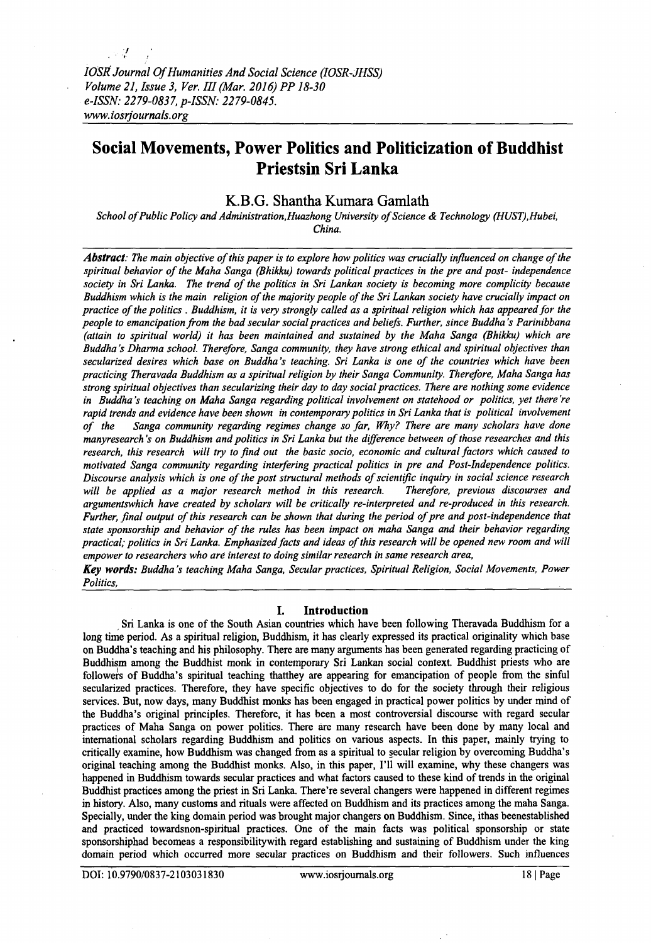*!*

# **Social Movements, Power Politics and Politicization of Buddhist Priestsin Sri Lanka**

# **K.B.G. Shantha Kumara Gamlath**

*School of Public Policy and Administration, Huazhong University of Science & Technology (HUST), Hubei, China.*

Abstract: The main objective of this paper is to explore how politics was crucially influenced on change of the spiritual behavior of the Maha Sanga (Bhikku) towards political practices in the pre and post- independence society in Sri Lanka. The trend of the politics in Sri Lankan society is becoming more complicity because *Buddhism which is the main religion of the majority people of the Sri Lankan society have crucially impact on* practice of the politics . Buddhism, it is very strongly called as a spiritual religion which has appeared for the *people to emancipation from the bad secular social practices and beliefs. Further, since Buddha's Parinibbana (attain to spiritual world) it has been maintained and sustained by the Maha Sanga (Bhikku) which are Buddha's Dharma school. Therefore, Sanga community, they have strong ethical and spiritual objectives than* secularized desires which base on Buddha's teaching. Sri Lanka is one of the countries which have been *practicing Theravada Buddhism as a spiritual religion by their Sanga Community. Therefore, Maha Sanga has strong spiritual objectives than secularizing their day to day social practices. There are nothing some evidence in Buddha's teaching on Maha Sanga regarding political involvement on statehood or politics, yet there 're rapid trends and evidence have been shown in contemporary politics in Sri Lanka that is political involvement* of the Sanga community regarding regimes change so far, Why? There are many scholars have done *manyresearch's on Buddhism and politics in Sri Lanka but the difference between of those researches and this research, this research will try to find out the basic socio, economic and cultural factors which caused to motivated Sanga community regarding interfering practical politics in pre and Post-Independence politics. Discourse analysis which is one of the post structural methods of scientific inquiry in social science research will be applied as a major research method in this research. Therefore, previous discourses and argumentswhich have created by scholars will be critically re-interpreted and re-produced in this research. Further, final output of this research can be shown that during the period of pre and post-independence that* state sponsorship and behavior of the rules has been impact on maha Sanga and their behavior regarding practical; politics in Sri Lanka. Emphasized facts and ideas of this research will be opened new room and will *empower to researchers who are interest to doing similar research in same research area,*

*Key words: Buddha's teaching Maha Sanga, Secular practices, Spiritual Religion, Social Movements, Power Politics,*

## **I. Introduction**

Sri Lanka is one of the South Asian countries which have been following Theravada Buddhism for a long time period. As a spiritual religion, Buddhism, it has clearly expressed its practical originality which base on Buddha's teaching and his philosophy. There are many arguments has been generated regarding practicing of Buddhism among the Buddhist monk in contemporary Sri Lankan social context. Buddhist priests who are followers of Buddha's spiritual teaching thatthey are appearing for emancipation of people from the sinful secularized practices. Therefore, they have specific objectives to do for the society through their religious services. But, now days, many Buddhist monks has been engaged in practical power politics by under mind of the Buddha's original principles. Therefore, it has been a most controversial discourse with regard secular practices of Maha Sanga on power politics. There are many research have been done by many local and international scholars regarding Buddhism and politics on various aspects. In this paper, mainly trying to critically examine, how Buddhism was changed from as a spiritual to secular religion by overcoming Buddha's original teaching among the Buddhist monks. Also, in this paper, I'll will examine, why these changers was happened in Buddhism towards secular practices and what factors caused to these kind of trends in the original Buddhist practices among the priest in Sri Lanka. There're several changers were happened in different regimes in history. Also, many customs and rituals were affected on Buddhism and its practices among the maha Sanga. Specially, under the king domain period was brought major changers on Buddhism. Since, ithas beenestablished and practiced towardsnon-spiritual practices. One of the main facts was political sponsorship or state sponsorshiphad becomeas a responsibilitywith regard establishing and sustaining of Buddhism under the king domain period which occurred more secular practices on Buddhism and their followers. Such influences

DOI: 10.9790/0837-2103031830 [www.iosrjoumals.org](http://www.iosrjoumals.org) 18 | Page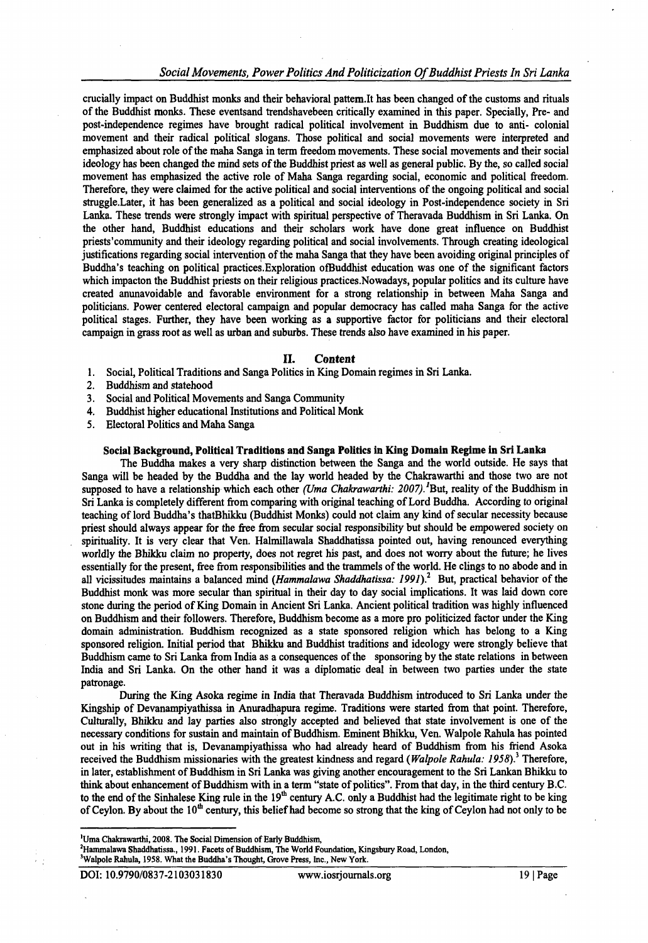# Social Movements, Power Politics And Politicization Of Buddhist Priests In Sri Lanka

crucially impact on Buddhist monks and their behavioral pattem.lt has been changed of the customs and rituals of the Buddhist monks. These eventsand trendshavebeen critically examined in this paper. Specially, Pre- and post-independence regimes have brought radical political involvement in Buddhism due to anti- colonial movement and their radical political slogans. Those political and social movements were interpreted and emphasized about role of the maha Sanga in term freedom movements. These social movements and their social ideology has been changed the mind sets of the Buddhist priest as well as general public. By the, so called social movement has emphasized the active role of Maha Sanga regarding social, economic and political freedom. Therefore, they were claimed for the active political and social interventions of the ongoing political and social struggle.Later, it has been generalized as a political and social ideology in Post-independence society in Sri Lanka. These trends were strongly impact with spiritual perspective of Theravada Buddhism in Sri Lanka. On the other hand, Buddhist educations and their scholars work have done great influence on Buddhist priests'community and their ideology regarding political and social involvements. Through creating ideological justifications regarding social intervention of the maha Sanga that they have been avoiding original principles of Buddha's teaching on political practices.Exploration ofBuddhist education was one of the significant factors which impacton the Buddhist priests on their religious practices.Nowadays, popular politics and its culture have created anunavoidable and favorable environment for a strong relationship in between Maha Sanga and politicians. Power centered electoral campaign and popular democracy has called maha Sanga for the active political stages. Further, they have been working as a supportive factor for politicians and their electoral campaign in grass root as well as urban and suburbs. These trends also have examined in his paper.

#### **II.** *Content*

- 1. Social, Political Traditions and Sanga Politics in King Domain regimes in Sri Lanka.
- 2. Buddhism and statehood
- 3. Social and Political Movements and Sanga Community
- 4. Buddhist higher educational Institutions and Political Monk
- 5. Electoral Politics and Maha Sanga

#### **Social Background, Political Traditions and Sanga Politics in King Domain Regime in Sri Lanka**

The Buddha makes a very sharp distinction between the Sanga and the world outside. He says that Sanga will be headed by the Buddha and the lay world headed by the Chakrawarthi and those two are not supposed to have a relationship which each other *(Uma Chakrawarthi: 2007)*.<sup>1</sup>But, reality of the Buddhism in Sri Lanka is completely different from comparing with original teaching of Lord Buddha. According to original teaching of lord Buddha's thatBhikku (Buddhist Monks) could not claim any kind of secular necessity because priest should always appear for the free from secular social responsibility but should be empowered society on spirituality. It is very clear that Ven. Halmillawala Shaddhatissa pointed out, having renounced everything worldly the Bhikku claim no property, does not regret his past, and does not worry about the future; he lives essentially for the present, free from responsibilities and the trammels of the world. He clings to no abode and in all vicissitudes maintains a balanced mind *(Hammalawa Shaddhatissa: 1991)?* But, practical behavior of the Buddhist monk was more secular than spiritual in their day to day social implications. It was laid down core stone during the period of King Domain in Ancient Sri Lanka. Ancient political tradition was highly influenced on Buddhism and their followers. Therefore, Buddhism become as a more pro politicized factor under the King domain administration. Buddhism recognized as a state sponsored religion which has belong to a King sponsored religion. Initial period that Bhikku and Buddhist traditions and ideology were strongly believe that Buddhism came to Sri Lanka from India as a consequences of the sponsoring by the state relations in between India and Sri Lanka. On the other hand it was a diplomatic deal in between two parties under the state patronage.

During the King Asoka regime in India that Theravada Buddhism introduced to Sri Lanka under the Kingship of Devanampiyathissa in Anuradhapura regime. Traditions were started from that point. Therefore, Culturally, Bhikku and lay parties also strongly accepted and believed that state involvement is one of the necessary conditions for sustain and maintain of Buddhism. Eminent Bhikku, Ven. Walpole Rahula has pointed out in his writing that is, Devanampiyathissa who had already heard of Buddhism from his friend Asoka received the Buddhism missionaries with the greatest kindness and regard *(Walpole Rahula: 1958)?* Therefore, in later, establishment of Buddhism in Sri Lanka was giving another encouragement to the Sri Lankan Bhikku to think about enhancement of Buddhism with in a term "state of politics". From that day, in the third century B.C. to the end of the Sinhalese King rule in the  $19<sup>th</sup>$  century A.C. only a Buddhist had the legitimate right to be king of Ceylon. By about the  $10^{th}$  century, this belief had become so strong that the king of Ceylon had not only to be

<sup>&#</sup>x27;Uma Chakrawarthi, 2008. The Social Dimension of Early Buddhism,

<sup>2</sup>Hammalawa Shaddhatissa., 1991. Facets of Buddhism, The World Foundation, Kingsbury Road, London, 'Walpole Rahula, 1958. What the Buddha's Thought, Grove Press, Inc., New York.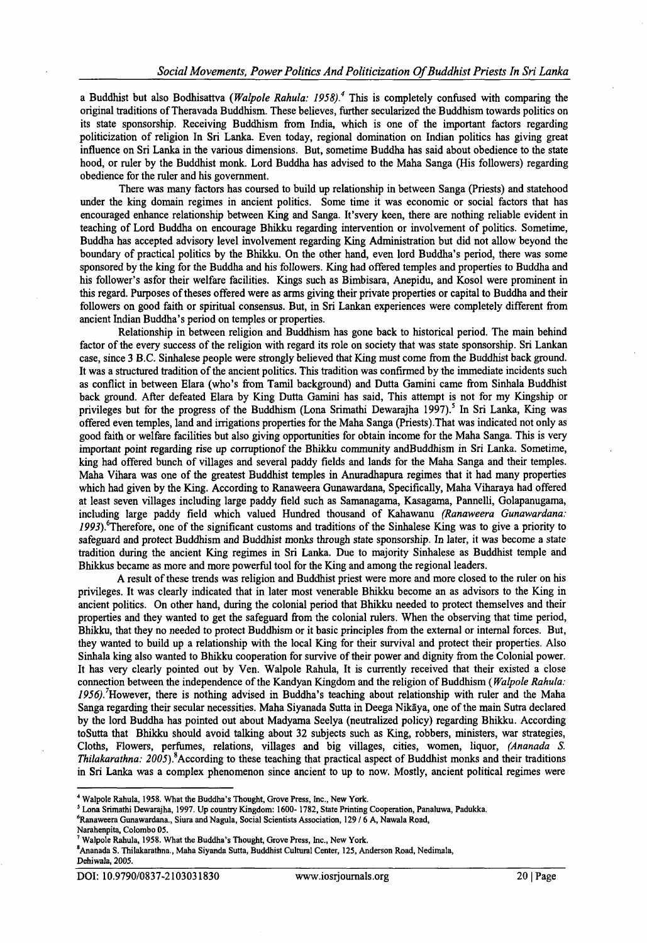a Buddhist but also Bodhisattva (*Walpole Rahula: 1958).4* This is completely confused with comparing the original traditions of Theravada Buddhism. These believes, further secularized the Buddhism towards politics on its state sponsorship. Receiving Buddhism from India, which is one of the important factors regarding politicization of religion In Sri Lanka. Even today, regional domination on Indian politics has giving great influence on Sri Lanka in the various dimensions. But, sometime Buddha has said about obedience to the state hood, or ruler by the Buddhist monk. Lord Buddha has advised to the Maha Sanga (His followers) regarding obedience for the ruler and his government.

There was many factors has coursed to build up relationship in between Sanga (Priests) and statehood under the king domain regimes in ancient politics. Some time it was economic or social factors that has encouraged enhance relationship between King and Sanga. It'svery keen, there are nothing reliable evident in teaching of Lord Buddha on encourage Bhikku regarding intervention or involvement of politics. Sometime, Buddha has accepted advisory level involvement regarding King Administration but did not allow beyond the boundary of practical politics by the Bhikku. On the other hand, even lord Buddha's period, there was some sponsored by the king for the Buddha and his followers. King had offered temples and properties to Buddha and his follower's asfor their welfare facilities. Kings such as Bimbisara, Anepidu, and Kosol were prominent in this regard. Purposes of theses offered were as arms giving their private properties or capital to Buddha and their followers on good faith or spiritual consensus. But, in Sri Lankan experiences were completely different from ancient Indian Buddha's period on temples or properties.

Relationship in between religion and Buddhism has gone back to historical period. The main behind factor of the every success of the religion with regard its role on society that was state sponsorship. Sri Lankan case, since 3 B.C. Sinhalese people were strongly believed that King must come from the Buddhist back ground. It was a structured tradition of the ancient politics. This tradition was confirmed by the immediate incidents such as conflict in between Elara (who's from Tamil background) and Dutta Gamini came from Sinhala Buddhist back ground. After defeated Elara by King Dutta Gamini has said, This attempt is not for my Kingship or privileges but for the progress of the Buddhism (Lona Srimathi Dewarajha 1997).<sup>5</sup> In Sri Lanka, King was offered even temples, land and irrigations properties for the Maha Sanga (Priests).That was indicated not only as good faith or welfare facilities but also giving opportunities for obtain income for the Maha Sanga. This is very important point regarding rise up corruptionof the Bhikku community andBuddhism in Sri Lanka. Sometime, king had offered bunch of villages and several paddy fields and lands for the Maha Sanga and their temples. Maha Vihara was one of the greatest Buddhist temples in Anuradhapura regimes that it had many properties which had given by the King. According to Ranaweera Gunawardana, Specifically, Maha Viharaya had offered at least seven villages including large paddy field such as Samanagama, Kasagama, Pannelli, Golapanugama, including large paddy field which valued Hundred thousand of Kahawanu *(Ranaweera Gunawardana: 1993)*^Therefore, one of the significant customs and traditions of the Sinhalese King was to give a priority to safeguard and protect Buddhism and Buddhist monks through state sponsorship. In later, it was become a state tradition during the ancient King regimes in Sri Lanka. Due to majority Sinhalese as Buddhist temple and Bhikkus became as more and more powerful tool for the King and among the regional leaders.

A result of these trends was religion and Buddhist priest were more and more closed to the ruler on his privileges. It was clearly indicated that in later most venerable Bhikku become an as advisors to the King in ancient politics. On other hand, during the colonial period that Bhikku needed to protect themselves and their properties and they wanted to get the safeguard from the colonial rulers. When the observing that time period, Bhikku, that they no needed to protect Buddhism or it basic principles from the external or internal forces. But, they wanted to build up a relationship with the local King for their survival and protect their properties. Also Sinhala king also wanted to Bhikku cooperation for survive of their power and dignity from the Colonial power. It has very clearly pointed out by Ven. Walpole Rahula, It is currently received that their existed a close connection between the independence of the Kandyan Kingdom and the religion of Buddhism ( *Walpole Rahula:* 1956). However, there is nothing advised in Buddha's teaching about relationship with ruler and the Maha Sanga regarding their secular necessities. Maha Siyanada Sutta in Deega Nikaya, one of the main Sutra declared by the lord Buddha has pointed out about Madyama Seelya (neutralized policy) regarding Bhikku. According toSutta that Bhikku should avoid talking about 32 subjects such as King, robbers, ministers, war strategies, Cloths, Flowers, perfumes, relations, villages and big villages, cities, women, liquor, *(Ananada S. Thilakarathna:* 2005).<sup>8</sup> According to these teaching that practical aspect of Buddhist monks and their traditions in Sri Lanka was a complex phenomenon since ancient to up to now. Mostly, ancient political regimes were

Narahenpita, Colombo 05.

<sup>4</sup> Walpole Rahula, 1958. What the Buddha's Thought, Grove Press, Inc., New York.

<sup>5</sup> Lona Srimathi Dewarajha, 1997. Up country Kingdom: 1600- 1782, State Printing Cooperation, Panaluwa, Padukka.

<sup>6</sup>Ranaweera Gunawardana., Siura and Nagula, Social Scientists Association, 129 / 6 A, Nawala Road,

<sup>&</sup>lt;sup>7</sup> Walpole Rahula, 1958. What the Buddha's Thought, Grove Press, Inc., New York.

sAnanada S. Thilakarathna., Maha Siyanda Sutta, Buddhist Cultural Center, 125, Anderson Road, Nedimala, Dehiwala, 2005.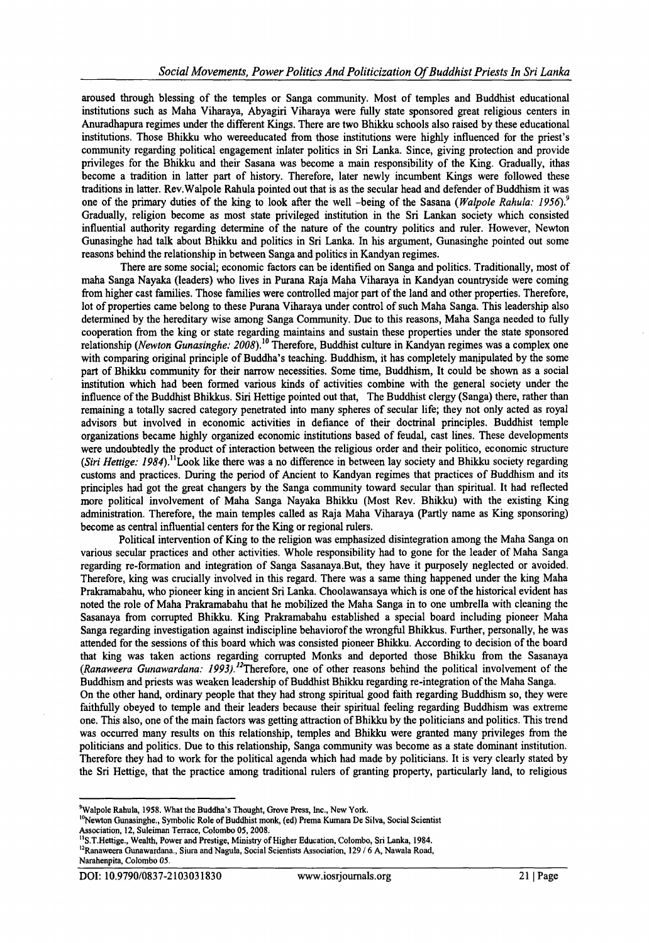aroused through blessing of the temples or Sanga community. Most of temples and Buddhist educational institutions such as Maha Viharaya, Abyagiri Viharaya were folly state sponsored great religious centers in Anuradhapura regimes under the different Kings. There are two Bhikku schools also raised by these educational institutions. Those Bhikku who wereeducated from those institutions were highly influenced for the priest's community regarding political engagement inlater politics in Sri Lanka. Since, giving protection and provide privileges for the Bhikku and their Sasana was become a main responsibility of the King. Gradually, ithas become a tradition in latter part of history. Therefore, later newly incumbent Kings were followed these traditions in latter. Rev. Walpole Rahula pointed out that is as the secular head and defender of Buddhism it was one of the primary duties of the king to look after the well -being of the Sasana ( *Walpole Rahula: 1956)?* Gradually, religion become as most state privileged institution in the Sri Lankan society which consisted influential authority regarding determine of the nature of the country politics and ruler. However, Newton Gunasinghe had talk about Bhikku and politics in Sri Lanka. In his argument, Gunasinghe pointed out some reasons behind the relationship in between Sanga and politics in Kandyan regimes.

There are some social; economic factors can be identified on Sanga and politics. Traditionally, most of maha Sanga Nayaka (leaders) who lives in Purana Raja Maha Viharaya in Kandyan countryside were coming from higher cast families. Those families were controlled major part of the land and other properties. Therefore, lot of properties came belong to these Purana Viharaya under control of such Maha Sanga. This leadership also determined by the hereditary wise among Sanga Community. Due to this reasons, Maha Sanga needed to fully cooperation from the king or state regarding maintains and sustain these properties under the state sponsored relationship (*Newton Gunasinghe: 2008*).<sup>10</sup> Therefore, Buddhist culture in Kandyan regimes was a complex one with comparing original principle of Buddha's teaching. Buddhism, it has completely manipulated by the some part of Bhikku community for their narrow necessities. Some time, Buddhism, It could be shown as a social institution which had been formed various kinds of activities combine with the general society under the influence of the Buddhist Bhikkus. Siri Hettige pointed out that, The Buddhist clergy (Sanga) there, rather than remaining a totally sacred category penetrated into many spheres of secular life; they not only acted as royal advisors but involved in economic activities in defiance of their doctrinal principles. Buddhist temple organizations became highly organized economic institutions based of feudal, cast lines. These developments were undoubtedly the product of interaction between the religious order and their politico, economic structure *(Siri Hettige: 1984).*<sup>11</sup>Look like there was a no difference in between lay society and Bhikku society regarding customs and practices. During the period of Ancient to Kandyan regimes that practices of Buddhism and its principles had got the great changers by the Sanga community toward secular than spiritual. It had reflected more political involvement of Maha Sanga Nayaka Bhikku (Most Rev. Bhikku) with the existing King administration. Therefore, the main temples called as Raja Maha Viharaya (Partly name as King sponsoring) become as central influential centers for the King or regional rulers.

Political intervention of King to the religion was emphasized disintegration among the Maha Sanga on various secular practices and other activities. Whole responsibility had to gone for the leader of Maha Sanga regarding re-formation and integration of Sanga Sasanaya.But, they have it purposely neglected or avoided. Therefore, king was crucially involved in this regard. There was a same thing happened under the king Maha Prakramabahu, who pioneer king in ancient Sri Lanka. Choolawansaya which is one of the historical evident has noted the role of Maha Prakramabahu that he mobilized the Maha Sanga in to one umbrella with cleaning the Sasanaya from corrupted Bhikku. King Prakramabahu established a special board including pioneer Maha Sanga regarding investigation against indiscipline behaviorof the wrongful Bhikkus. Further, personally, he was attended for the sessions of this board which was consisted pioneer Bhikku. According to decision of the board that king was taken actions regarding corrupted Monks and deported those Bhikku from the Sasanaya (Ranaweera Gunawardana: 1993).<sup>12</sup>Therefore, one of other reasons behind the political involvement of the Buddhism and priests was weaken leadership of Buddhist Bhikku regarding re-integration of the Maha Sanga. On the other hand, ordinary people that they had strong spiritual good faith regarding Buddhism so, they were faithfully obeyed to temple and their leaders because their spiritual feeling regarding Buddhism was extreme one. This also, one of the main factors was getting attraction of Bhikku by the politicians and politics. This trend was occurred many results on this relationship, temples and Bhikku were granted many privileges from the politicians and politics. Due to this relationship, Sanga community was become as a state dominant institution. Therefore they had to work for the political agenda which had made by politicians. It is very clearly stated by the Sri Hettige, that the practice among traditional rulers of granting property, particularly land, to religious \*2

<sup>&</sup>lt;sup>9</sup>Walpole Rahula, 1958. What the Buddha's Thought, Grove Press, Inc., New York.

<sup>&</sup>lt;sup>10</sup>Newton Gunasinghe., Symbolic Role of Buddhist monk, (ed) Prema Kumara De Silva, Social Scientist Association, 12, Suleiman Terrace, Colombo 05, 2008.

<sup>&</sup>lt;sup>11</sup>S.T.Hettige., Wealth, Power and Prestige, Ministry of Higher Education, Colombo, Sri Lanka, 1984.

<sup>&</sup>lt;sup>12</sup>Ranaweera Gunawardana., Siura and Nagula, Social Scientists Association, 129 / 6 A, Nawala Road, Narahenpita, Colombo 05.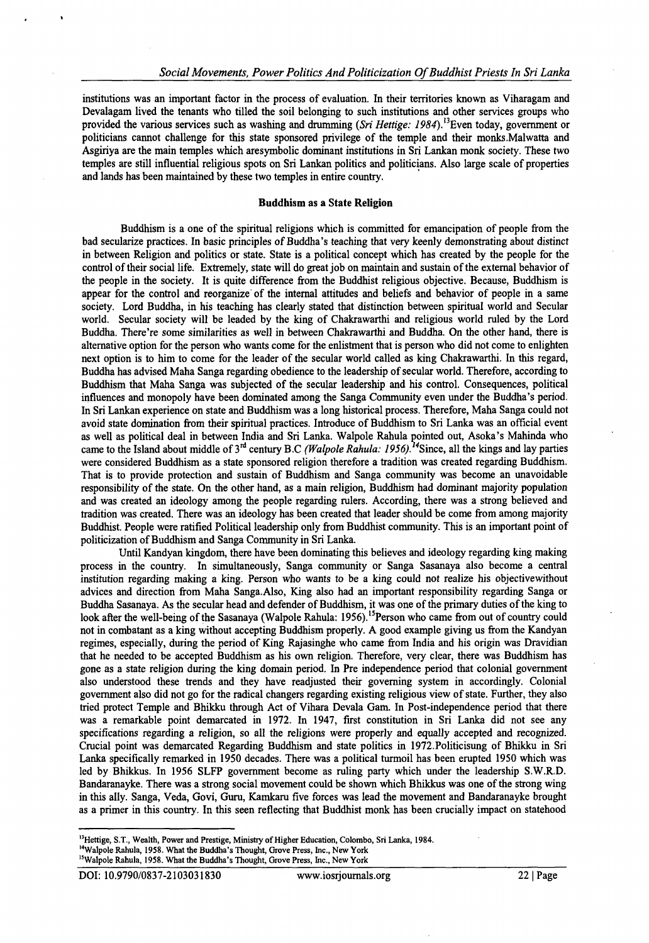institutions was an important factor in the process of evaluation. In their territories known as Viharagam and Devalagam lived the tenants who tilled the soil belonging to such institutions and other services groups who provided the various services such as washing and drumming *(Sri Hettige: 1984)*.<sup>13</sup>Even today, government or politicians cannot challenge for this state sponsored privilege of the temple and their monks.Malwatta and Asgiriya are the main temples which aresymbolic dominant institutions in Sri Lankan monk society. These two temples are still influential religious spots on Sri Lankan politics and politicians. Also large scale of properties and lands has been maintained by these two temples in entire country.

#### Buddhism as a State Religion

Buddhism is a one of the spiritual religions which is committed for emancipation of people from the bad secularize practices. In basic principles of Buddha's teaching that very keenly demonstrating about distinct in between Religion and politics or state. State is a political concept which has created by the people for the control of their social life. Extremely, state will do great job on maintain and sustain of the external behavior of the people in the society. It is quite difference from the Buddhist religious objective. Because, Buddhism is appear for the control and reorganize of the internal attitudes and beliefs and behavior of people in a same society. Lord Buddha, in his teaching has clearly stated that distinction between spiritual world and Secular world. Secular society will be leaded by the king of Chakrawarthi and religious world ruled by the Lord Buddha. There're some similarities as well in between Chakrawarthi and Buddha. On the other hand, there is alternative option for the person who wants come for the enlistment that is person who did not come to enlighten next option is to him to come for the leader of the secular world called as king Chakrawarthi. In this regard, Buddha has advised Maha Sanga regarding obedience to the leadership of secular world. Therefore, according to Buddhism that Maha Sanga was subjected of the secular leadership and his control. Consequences, political influences and monopoly have been dominated among the Sanga Community even under the Buddha's period. In Sri Lankan experience on state and Buddhism was a long historical process. Therefore, Maha Sanga could not avoid state domination from their spiritual practices. Introduce of Buddhism to Sri Lanka was an official event as well as political deal in between India and Sri Lanka. Walpole Rahula pointed out, Asoka's Mahinda who came to the Island about middle of 3<sup>rd</sup> century B.C *(Walpole Rahula: 1956).*<sup>4</sup> Since, all the kings and lay parties were considered Buddhism as a state sponsored religion therefore a tradition was created regarding Buddhism. That is to provide protection and sustain of Buddhism and Sanga community was become an unavoidable responsibility of the state. On the other hand, as a main religion, Buddhism had dominant majority population and was created an ideology among the people regarding rulers. According, there was a strong believed and tradition was created. There was an ideology has been created that leader should be come from among majority Buddhist. People were ratified Political leadership only from Buddhist community. This is an important point of politicization of Buddhism and Sanga Community in Sri Lanka.

Until Kandyan kingdom, there have been dominating this believes and ideology regarding king making process in the country. In simultaneously, Sanga community or Sanga Sasanaya also become a central institution regarding making a king. Person who wants to be a king could not realize his objectivewithout advices and direction from Maha Sanga.Also, King also had an important responsibility regarding Sanga or Buddha Sasanaya. As the secular head and defender of Buddhism, it was one of the primary duties of the king to look after the well-being of the Sasanaya (Walpole Rahula: 1956).15Person who came from out of country could not in combatant as a king without accepting Buddhism properly. A good example giving us from the Kandyan regimes, especially, during the period of King Rajasinghe who came from India and his origin was Dravidian that he needed to be accepted Buddhism as his own religion. Therefore, very clear, there was Buddhism has gone as a state religion during the king domain period. In Pre independence period that colonial government also understood these trends and they have readjusted their governing system in accordingly. Colonial government also did not go for the radical changers regarding existing religious view of state. Further, they also tried protect Temple and Bhikku through Act of Vihara Devala Gam. In Post-independence period that there was a remarkable point demarcated in 1972. In 1947, first constitution in Sri Lanka did not see any specifications regarding a religion, so all the religions were properly and equally accepted and recognized. Crucial point was demarcated Regarding Buddhism and state politics in 1972.Politicisung of Bhikku in Sri Lanka specifically remarked in 1950 decades. There was a political turmoil has been erupted 1950 which was led by Bhikkus. In 1956 SLFP government become as ruling party which under the leadership S.W.R.D. Bandaranayke. There was a strong social movement could be shown which Bhikkus was one of the strong wing in this ally. Sanga, Veda, Govi, Guru, Kamkaru five forces was lead the movement and Bandaranayke brought as a primer in this country. In this seen reflecting that Buddhist monk has been crucially impact on statehood

<sup>&</sup>lt;sup>13</sup>Hettige, S.T., Wealth, Power and Prestige, Ministry of Higher Education, Colombo, Sri Lanka, 1984.

<sup>&</sup>lt;sup>14</sup>Walpole Rahula, 1958. What the Buddha's Thought, Grove Press, Inc., New York

<sup>&</sup>lt;sup>15</sup>Walpole Rahula, 1958. What the Buddha's Thought, Grove Press, Inc., New York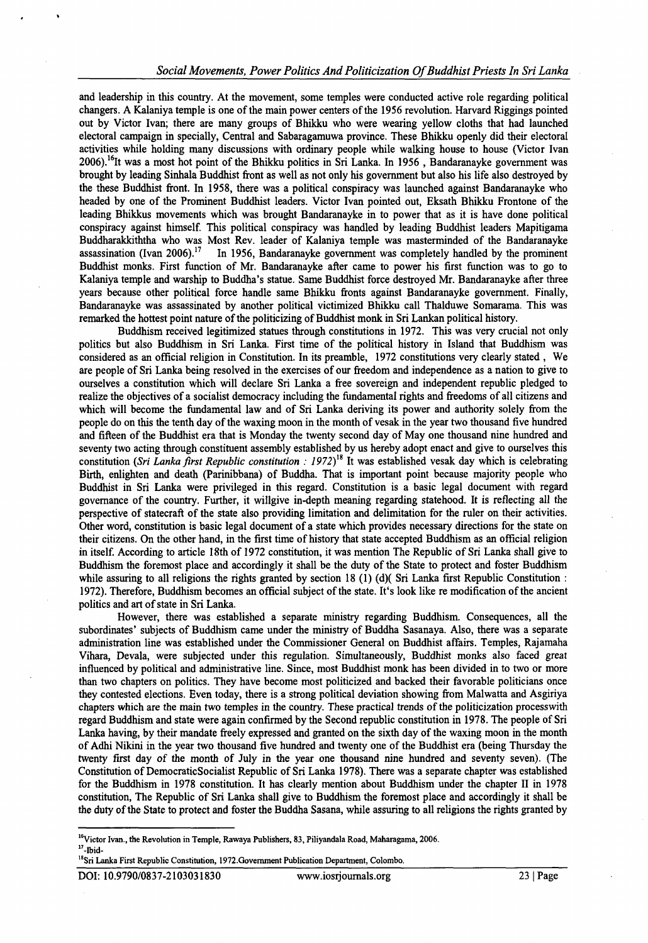and leadership in this country. At the movement, some temples were conducted active role regarding political changers. A Kalaniya temple is one of the main power centers of the 1956 revolution. Harvard Riggings pointed out by Victor Ivan; there are many groups of Bhikku who were wearing yellow cloths that had launched electoral campaign in specially, Central and Sabaragamuwa province. These Bhikku openly did their electoral activities while holding many discussions with ordinary people while walking house to house (Victor Ivan  $2006$ .<sup>16</sup>It was a most hot point of the Bhikku politics in Sri Lanka. In 1956, Bandaranayke government was brought by leading Sinhala Buddhist front as well as not only his government but also his life also destroyed by the these Buddhist front. In 1958, there was a political conspiracy was launched against Bandaranayke who headed by one of the Prominent Buddhist leaders. Victor Ivan pointed out, Eksath Bhikku Frontone of the leading Bhikkus movements which was brought Bandaranayke in to power that as it is have done political conspiracy against himself. This political conspiracy was handled by leading Buddhist leaders Mapitigama Buddharakkiththa who was Most Rev. leader of Kalaniya temple was masterminded of the Bandaranayke assassination (Ivan 2006).<sup>17</sup> In 1956, Bandaranayke government was completely handled by the prominent In 1956, Bandaranayke government was completely handled by the prominent Buddhist monks. First function of Mr. Bandaranayke after came to power his first function was to go to Kalaniya temple and warship to Buddha's statue. Same Buddhist force destroyed Mr. Bandaranayke after three years because other political force handle same Bhikku fronts against Bandaranayke government. Finally, Bandaranayke was assassinated by another political victimized Bhikku call Thalduwe Somarama. This was remarked the hottest point nature of the politicizing of Buddhist monk in Sri Lankan political history.

Buddhism received legitimized statues through constitutions in 1972. This was very crucial not only politics but also Buddhism in Sri Lanka. First time of the political history in Island that Buddhism was considered as an official religion in Constitution. In its preamble, 1972 constitutions very clearly stated , We are people of Sri Lanka being resolved in the exercises of our freedom and independence as a nation to give to ourselves a constitution which will declare Sri Lanka a free sovereign and independent republic pledged to realize the objectives of a socialist democracy including the fundamental rights and freedoms of all citizens and which will become the fundamental law and of Sri Lanka deriving its power and authority solely from the people do on this the tenth day of the waxing moon in the month of vesak in the year two thousand five hundred and fifteen of the Buddhist era that is Monday the twenty second day of May one thousand nine hundred and seventy two acting through constituent assembly established by us hereby adopt enact and give to ourselves this constitution *(Sri Lanka first Republic constitution : 1972)*<sup>18</sup> It was established vesak day which is celebrating Birth, enlighten and death (Parinibbana) of Buddha. That is important point because majority people who Buddhist in Sri Lanka were privileged in this regard. Constitution is a basic legal document with regard governance of the country. Further, it willgive in-depth meaning regarding statehood. It is reflecting all the perspective of statecraft of the state also providing limitation and delimitation for the ruler on their activities. Other word, constitution is basic legal document of a state which provides necessary directions for the state on their citizens. On the other hand, in the first time of history that state accepted Buddhism as an official religion in itself. According to article 18th of 1972 constitution, it was mention The Republic of Sri Lanka shall give to Buddhism the foremost place and accordingly it shall be the duty of the State to protect and foster Buddhism while assuring to all religions the rights granted by section 18 (1) (d)( Sri Lanka first Republic Constitution : 1972). Therefore, Buddhism becomes an official subject of the state. It's look like re modification of the ancient politics and art of state in Sri Lanka.

However, there was established a separate ministry regarding Buddhism. Consequences, all the subordinates' subjects of Buddhism came under the ministry of Buddha Sasanaya. Also, there was a separate administration line was established under the Commissioner General on Buddhist affairs. Temples, Rajamaha Vihara, Devala, were subjected under this regulation. Simultaneously, Buddhist monks also faced great influenced by political and administrative line. Since, most Buddhist monk has been divided in to two or more than two chapters on politics. They have become most politicized and backed their favorable politicians once they contested elections. Even today, there is a strong political deviation showing from Malwatta and Asgiriya chapters which are the main two temples in the country. These practical trends of the politicization processwith regard Buddhism and state were again confirmed by the Second republic constitution in 1978. The people of Sri Lanka having, by their mandate freely expressed and granted on the sixth day of the waxing moon in the month of Adhi Nikini in the year two thousand five hundred and twenty one of the Buddhist era (being Thursday the twenty first day of the month of July in the year one thousand nine hundred and seventy seven). (The Constitution of DemocraticSocialist Republic of Sri Lanka 1978). There was a separate chapter was established for the Buddhism in 1978 constitution. It has clearly mention about Buddhism under the chapter II in 1978 constitution, The Republic of Sri Lanka shall give to Buddhism the foremost place and accordingly it shall be the duty of the State to protect and foster the Buddha Sasana, while assuring to all religions the rights granted by

<sup>&</sup>lt;sup>15</sup>Victor Ivan., the Revolution in Temple, Rawaya Publishers, 83, Piliyandala Road, Maharagama, 2006.  $<sup>17</sup>$ -Ibid-</sup>

<sup>&</sup>lt;sup>18</sup>Sri Lanka First Republic Constitution, 1972.Government Publication Department, Colombo.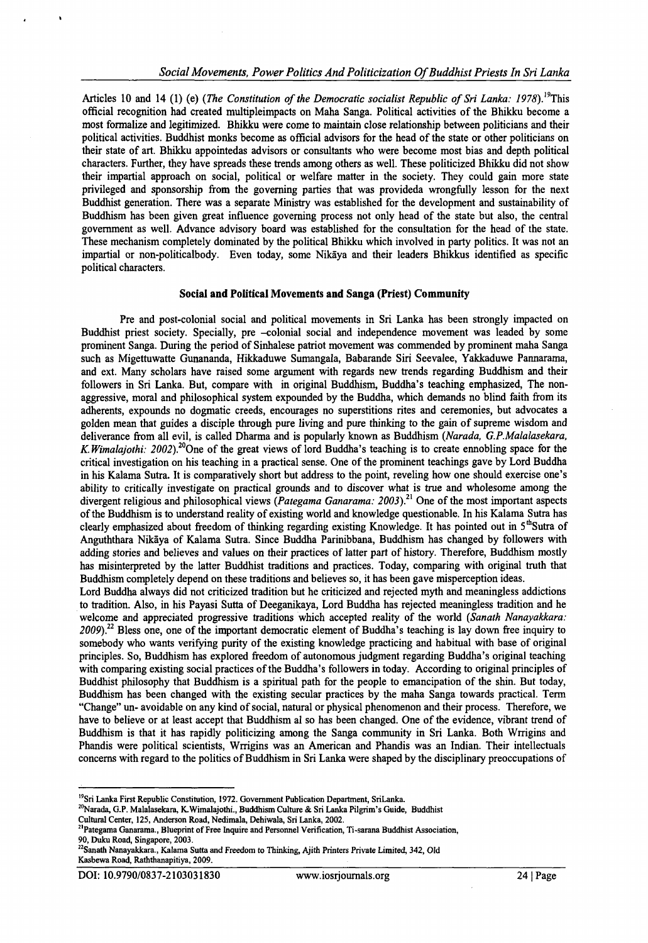Articles 10 and 14 (1) (e) *(The Constitution of the Democratic socialist Republic of Sri Lanka: 1978*).<sup>19</sup>This official recognition had created multipleimpacts on Maha Sanga. Political activities of the Bhikku become a most formalize and legitimized. Bhikku were come to maintain close relationship between politicians and their political activities. Buddhist monks become as official advisors for the head of the state or other politicians on their state of art. Bhikku appointedas advisors or consultants who were become most bias and depth political characters. Further, they have spreads these trends among others as well. These politicized Bhikku did not show their impartial approach on social, political or welfare matter in the society. They could gain more state privileged and sponsorship from the governing parties that was provideda wrongfully lesson for the next Buddhist generation. There was a separate Ministry was established for the development and sustainability of Buddhism has been given great influence governing process not only head of the state but also, the central government as well. Advance advisory board was established for the consultation for the head of the state. These mechanism completely dominated by the political Bhikku which involved in party politics. It was not an impartial or non-politicalbody. Even today, some Nikaya and their leaders Bhikkus identified as specific political characters.

### **Social and Political Movements and Sanga (Priest) Community**

Pre and post-colonial social and political movements in Sri Lanka has been strongly impacted on Buddhist priest society. Specially, pre -colonial social and independence movement was leaded by some prominent Sanga. During the period of Sinhalese patriot movement was commended by prominent maha Sanga such as Migettuwatte Gunananda, Hikkaduwe Sumangala, Babarande Siri Seevalee, Yakkaduwe Pannarama, and ext. Many scholars have raised some argument with regards new trends regarding Buddhism and their followers in Sri Lanka. But, compare with in original Buddhism, Buddha's teaching emphasized, The nonaggressive, moral and philosophical system expounded by the Buddha, which demands no blind faith from its adherents, expounds no dogmatic creeds, encourages no superstitions rites and ceremonies, but advocates a golden mean that guides a disciple through pure living and pure thinking to the gain of supreme wisdom and deliverance from all evil, is called Dharma and is popularly known as Buddhism *{Narada, G.P.Malalasekara, K. Wimalajothi: 2002)?°*One of the great views of lord Buddha's teaching is to create ennobling space for the critical investigation on his teaching in a practical sense. One of the prominent teachings gave by Lord Buddha in his Kalama Sutra. It is comparatively short but address to the point, reveling how one should exercise one's ability to critically investigate on practical grounds and to discover what is true and wholesome among the divergent religious and philosophical views *(Pategama Ganarama: 2003*).<sup>21</sup> One of the most important aspects of the Buddhism is to understand reality of existing world and knowledge questionable. In his Kalama Sutra has clearly emphasized about freedom of thinking regarding existing Knowledge. It has pointed out in 5<sup>th</sup>Sutra of Anguththara Nikaya of Kalama Sutra. Since Buddha Parinibbana, Buddhism has changed by followers with adding stories and believes and values on their practices of latter part of history. Therefore, Buddhism mostly has misinterpreted by the latter Buddhist traditions and practices. Today, comparing with original truth that Buddhism completely depend on these traditions and believes so, it has been gave misperception ideas.

Lord Buddha always did not criticized tradition but he criticized and rejected myth and meaningless addictions to tradition. Also, in his Payasi Sutta of Deeganikaya, Lord Buddha has rejected meaningless tradition and he welcome and appreciated progressive traditions which accepted reality of the world *{Sanath Nanayakkara: 2009).22* Bless one, one of the important democratic element of Buddha's teaching is lay down free inquiry to somebody who wants verifying purity of the existing knowledge practicing and habitual with base of original principles. So, Buddhism has explored freedom of autonomous judgment regarding Buddha's original teaching with comparing existing social practices of the Buddha's followers in today. According to original principles of Buddhist philosophy that Buddhism is a spiritual path for the people to emancipation of the shin. But today, Buddhism has been changed with the existing secular practices by the maha Sanga towards practical. Term "Change" un- avoidable on any kind of social, natural or physical phenomenon and their process. Therefore, we have to believe or at least accept that Buddhism al so has been changed. One of the evidence, vibrant trend of Buddhism is that it has rapidly politicizing among the Sanga community in Sri Lanka. Both Wrrigins and Phandis were political scientists, Wrrigins was an American and Phandis was an Indian. Their intellectuals concerns with regard to the politics of Buddhism in Sri Lanka were shaped by the disciplinary preoccupations of

<sup>&</sup>lt;sup>19</sup>Sri Lanka First Republic Constitution, 1972. Government Publication Department, SriLanka.

<sup>&</sup>lt;sup>20</sup>Narada, G.P. Malalasekara, K. Wimalajothi., Buddhism Culture & Sri Lanka Pilgrim's Guide, Buddhist

Cultural Center, 125, Anderson Road, Nedimala, Dehiwala, Sri Lanka, 2002.

<sup>2,</sup>Pategama Ganarama., Blueprint of Free Inquire and Personnel Verification, Ti-sarana Buddhist Association, 90, Duku Road, Singapore, 2003.

<sup>22</sup>Sanath Nanayakkara., Kalama Sutta and Freedom to Thinking, Ajith Printers Private Limited, 342, Old Kasbewa Road, Raththanapitiya, 2009.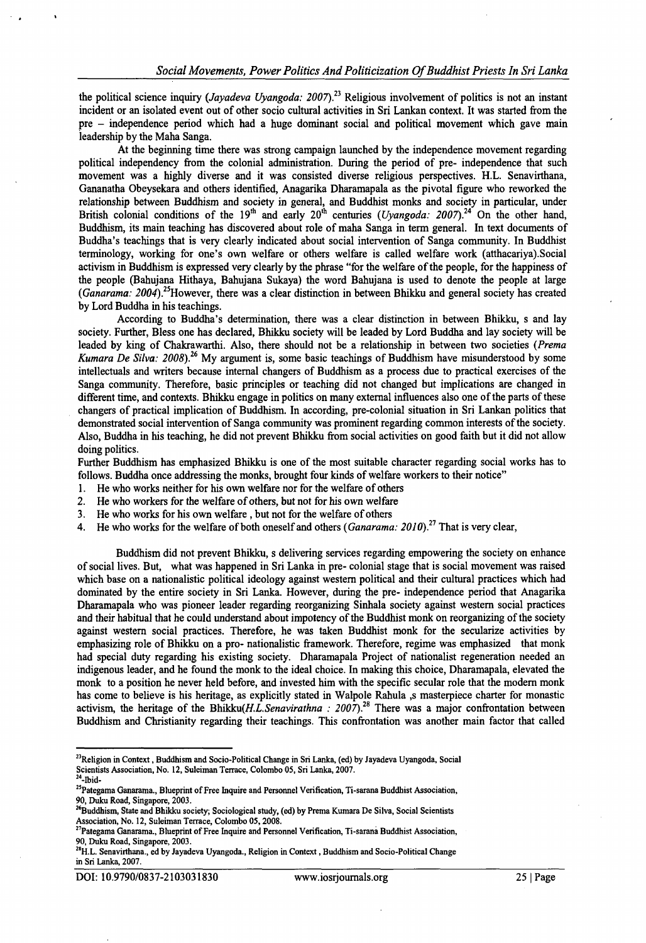the political science inquiry (*Jayadeva Uyangoda: 2007*).<sup>23</sup> Religious involvement of politics is not an instant incident or an isolated event out of other socio cultural activities in Sri Lankan context. It was started from the pre - independence period which had a huge dominant social and political movement which gave main leadership by the Maha Sanga.

At the beginning time there was strong campaign launched by the independence movement regarding political independency from the colonial administration. During the period of pre- independence that such movement was a highly diverse and it was consisted diverse religious perspectives. H.L. Senavirthana, Gananatha Obeysekara and others identified, Anagarika Dharamapala as the pivotal figure who reworked the relationship between Buddhism and society in general, and Buddhist monks and society in particular, under British colonial conditions of the  $19^{\text{th}}$  and early  $20^{\text{th}}$  centuries (*Uyangoda: 2007*).<sup>24</sup> On the other hand, Buddhism, its main teaching has discovered about role of maha Sanga in term general. In text documents of Buddha's teachings that is very clearly indicated about social intervention of Sanga community. In Buddhist terminology, working for one's own welfare or others welfare is called welfare work (atthacariya).Social activism in Buddhism is expressed very clearly by the phrase "for the welfare of the people, for the happiness of the people (Bahujana Hithaya, Bahujana Sukaya) the word Bahujana is used to denote the people at large *(Ganarama: 2004).*<sup>25</sup>However, there was a clear distinction in between Bhikku and general society has created by Lord Buddha in his teachings.

According to Buddha's determination, there was a clear distinction in between Bhikku, s and lay society. Further, Bless one has declared, Bhikku society will be leaded by Lord Buddha and lay society will be leaded by king of Chakrawarthi. Also, there should not be a relationship in between two societies (*Prema Kumara De Silva: 2008*).<sup>26</sup> My argument is, some basic teachings of Buddhism have misunderstood by some intellectuals and writers because internal changers of Buddhism as a process due to practical exercises of the Sanga community. Therefore, basic principles or teaching did not changed but implications are changed in different time, and contexts. Bhikku engage in politics on many external influences also one of the parts of these changers of practical implication of Buddhism. In according, pre-colonial situation in Sri Lankan politics that demonstrated social intervention of Sanga community was prominent regarding common interests of the society. Also, Buddha in his teaching, he did not prevent Bhikku from social activities on good faith but it did not allow doing politics.

Further Buddhism has emphasized Bhikku is one of the most suitable character regarding social works has to follows. Buddha once addressing the monks, brought four kinds of welfare workers to their notice"

- 1. He who works neither for his own welfare nor for the welfare of others
- 2. He who workers for the welfare of others, but not for his own welfare
- 3. He who works for his own welfare, but not for the welfare of others
- 4. He who works for the welfare of both oneself and others (*Ganarama: 2010).21* That is very clear,

Buddhism did not prevent Bhikku, s delivering services regarding empowering the society on enhance of social lives. But, what was happened in Sri Lanka in pre- colonial stage that is social movement was raised which base on a nationalistic political ideology against western political and their cultural practices which had dominated by the entire society in Sri Lanka. However, during the pre- independence period that Anagarika Dharamapala who was pioneer leader regarding reorganizing Sinhala society against western social practices and their habitual that he could understand about impotency of the Buddhist monk on reorganizing of the society against western social practices. Therefore, he was taken Buddhist monk for the secularize activities by emphasizing role of Bhikku on a pro- nationalistic framework. Therefore, regime was emphasized that monk had special duty regarding his existing society. Dharamapala Project of nationalist regeneration needed an indigenous leader, and he found the monk to the ideal choice. In making this choice, Dharamapala, elevated the monk to a position he never held before, and invested him with the specific secular role that the modem monk has come to believe is his heritage, as explicitly stated in Walpole Rahula ,s masterpiece charter for monastic activism, the heritage of the *Bhikku(H.L.Senavirathna : 2007*).<sup>28</sup> There was a major confrontation between Buddhism and Christianity regarding their teachings. This confrontation was another main factor that called

DOI: 10.9790/0837-2103031830 [www.iosrjoumals.org](http://www.iosrjoumals.org) 25 | Page

<sup>&</sup>lt;sup>23</sup>Religion in Context, Buddhism and Socio-Political Change in Sri Lanka, (ed) by Jayadeva Uyangoda, Social Scientists Association, No. 12, Suleiman Terrace, Colombo 05, Sri Lanka, 2007.

<sup>24-</sup>Ibid-<sup>25</sup>Pategama Ganarama., Blueprint of Free Inquire and Personnel Verification, Ti-sarana Buddhist Association, 90, Duku Road, Singapore, 2003.

<sup>&</sup>lt;sup>26</sup>Buddhism, State and Bhikku society; Sociological study, (ed) by Prema Kumara De Silva, Social Scientists Association, No. 12, Suleiman Terrace, Colombo 05,2008.

<sup>27</sup>Pategama Ganarama., Blueprint of Free Inquire and Personnel Verification, Ti-sarana Buddhist Association, 90, Duku Road, Singapore, 2003.

<sup>&</sup>lt;sup>28</sup>H.L. Senavirthana., ed by Jayadeva Uyangoda., Religion in Context, Buddhism and Socio-Political Change in Sri Lanka, 2007.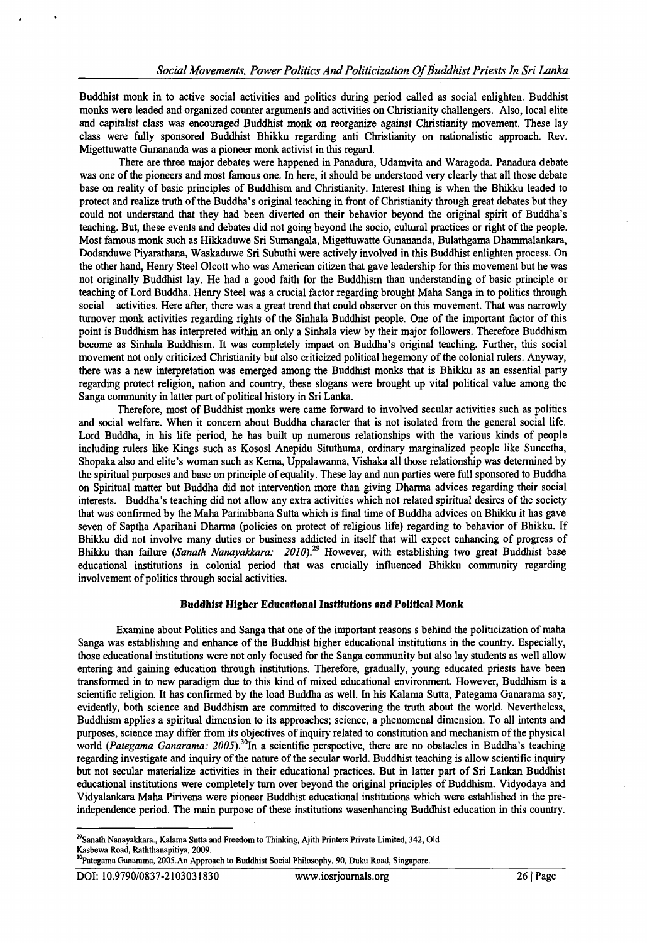Buddhist monk in to active social activities and politics during period called as social enlighten. Buddhist monks were leaded and organized counter arguments and activities on Christianity challengers. Also, local elite and capitalist class was encouraged Buddhist monk on reorganize against Christianity movement. These lay class were fully sponsored Buddhist Bhikku regarding anti Christianity on nationalistic approach. Rev. Migettuwatte Gunananda was a pioneer monk activist in this regard.

There are three major debates were happened in Panadura, Udamvita and Waragoda. Panadura debate was one of the pioneers and most famous one. In here, it should be understood very clearly that all those debate base on reality of basic principles of Buddhism and Christianity. Interest thing is when the Bhikku leaded to protect and realize truth of the Buddha's original teaching in front of Christianity through great debates but they could not understand that they had been diverted on their behavior beyond the original spirit of Buddha's teaching. But, these events and debates did not going beyond the socio, cultural practices or right of the people. Most famous monk such as Hikkaduwe Sri Sumangala, Migettuwatte Gunananda, Bulathgama Dhammalankara, Dodanduwe Piyarathana, Waskaduwe Sri Subuthi were actively involved in this Buddhist enlighten process. On the other hand, Henry Steel Olcott who was American citizen that gave leadership for this movement but he was not originally Buddhist lay. He had a good faith for the Buddhism than understanding of basic principle or teaching of Lord Buddha. Henry Steel was a crucial factor regarding brought Maha Sanga in to politics through social activities. Here after, there was a great trend that could observer on this movement. That was narrowly turnover monk activities regarding rights of the Sinhala Buddhist people. One of the important factor of this point is Buddhism has interpreted within an only a Sinhala view by their major followers. Therefore Buddhism become as Sinhala Buddhism. It was completely impact on Buddha's original teaching. Further, this social movement not only criticized Christianity but also criticized political hegemony of the colonial rulers. Anyway, there was a new interpretation was emerged among the Buddhist monks that is Bhikku as an essential party regarding protect religion, nation and country, these slogans were brought up vital political value among the Sanga community in latter part of political history in Sri Lanka.

Therefore, most of Buddhist monks were came forward to involved secular activities such as politics and social welfare. When it concern about Buddha character that is not isolated from the general social life. Lord Buddha, in his life period, he has built up numerous relationships with the various kinds of people including rulers like Kings such as KososI Anepidu Situthuma, ordinary marginalized people like Suneetha, Shopaka also and elite's woman such as Kema, Uppalawanna, Vishaka all those relationship was determined by the spiritual purposes and base on principle of equality. These lay and nun parties were full sponsored to Buddha on Spiritual matter but Buddha did not intervention more than giving Dharma advices regarding their social interests. Buddha's teaching did not allow any extra activities which not related spiritual desires of the society that was confirmed by the Maha Parinibbana Sutta which is final time of Buddha advices on Bhikku it has gave seven of Saptha Aparihani Dharma (policies on protect of religious life) regarding to behavior of Bhikku. If Bhikku did not involve many duties or business addicted in itself that will expect enhancing of progress of Bhikku than failure *(Sanath Nanayakkara: 2010)*.<sup>29</sup> However, with establishing two great Buddhist base educational institutions in colonial period that was crucially influenced Bhikku community regarding involvement of politics through social activities.

# **Buddhist Higher Educational Institutions and Political Monk**

Examine about Politics and Sanga that one of the important reasons s behind the politicization of maha Sanga was establishing and enhance of the Buddhist higher educational institutions in the country. Especially, those educational institutions were not only focused for the Sanga community but also lay students as well allow entering and gaining education through institutions. Therefore, gradually, young educated priests have been transformed in to new paradigm due to this kind of mixed educational environment. However, Buddhism is a scientific religion. It has confirmed by the load Buddha as well. In his Kalama Sutta, Pategama Ganarama say, evidently, both science and Buddhism are committed to discovering the truth about the world. Nevertheless, Buddhism applies a spiritual dimension to its approaches; science, a phenomenal dimension. To all intents and purposes, science may differ from its objectives of inquiry related to constitution and mechanism of the physical world *(Pategama Ganarama: 2005*).<sup>30</sup>In a scientific perspective, there are no obstacles in Buddha's teaching regarding investigate and inquiry of the nature of the secular world. Buddhist teaching is allow scientific inquiry but not secular materialize activities in their educational practices. But in latter part of Sri Lankan Buddhist educational institutions were completely turn over beyond the original principles of Buddhism. Vidyodaya and Vidyalankara Maha Pirivena were pioneer Buddhist educational institutions which were established in the preindependence period. The main purpose of these institutions wasenhancing Buddhist education in this country.

<sup>&</sup>lt;sup>29</sup>Sanath Nanayakkara., Kalama Sutta and Freedom to Thinking, Ajith Printers Private Limited, 342, Old Kasbewa Road, Raththanapitiya, 2009.

<sup>&</sup>lt;sup>30</sup>Pategama Ganarama, 2005.An Approach to Buddhist Social Philosophy, 90, Duku Road, Singapore.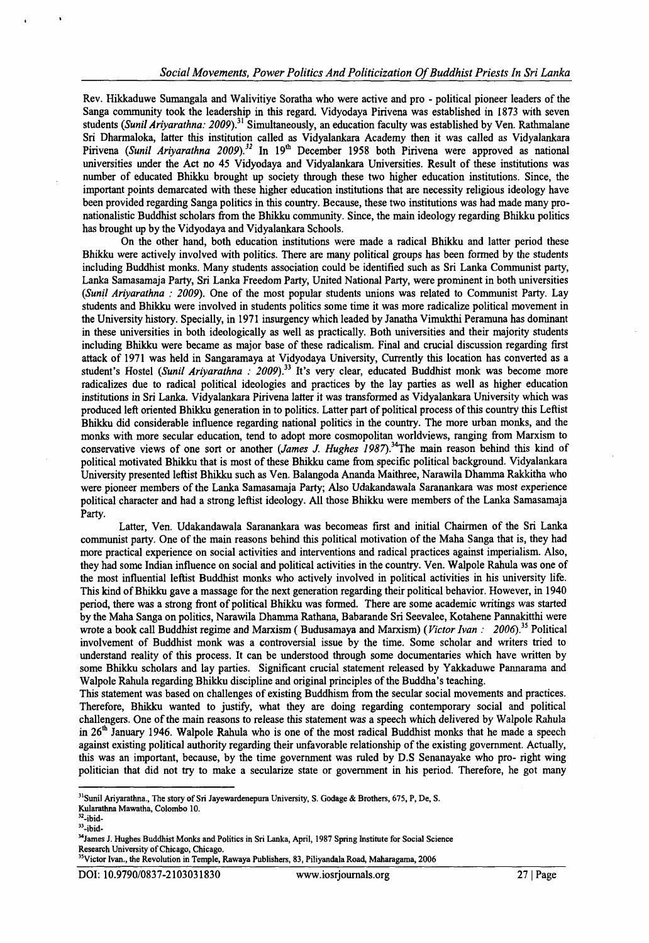Rev. Hikkaduwe Sumangala and Walivitiye Soratha who were active and pro - political pioneer leaders of the Sanga community took the leadership in this regard. Vidyodaya Pirivena was established in 1873 with seven students (Sunil Ariyarathna: 2009).<sup>31</sup> Simultaneously, an education faculty was established by Ven. Rathmalane Sri Dharmaloka, latter this institution called as Vidyalankara Academy then it was called as Vidyalankara Pirivena *(Sunil Ariyarathna 2009).*<sup>32</sup> In 19<sup>th</sup> December 1958 both Pirivena were approved as national universities under the Act no 45 Vidyodaya and Vidyalankara Universities. Result of these institutions was number of educated Bhikku brought up society through these two higher education institutions. Since, the important points demarcated with these higher education institutions that are necessity religious ideology have been provided regarding Sanga politics in this country. Because, these two institutions was had made many pronationalistic Buddhist scholars from the Bhikku community. Since, the main ideology regarding Bhikku politics has brought up by the Vidyodaya and Vidyalankara Schools.

On the other hand, both education institutions were made a radical Bhikku and latter period these Bhikku were actively involved with politics. There are many political groups has been formed by the students including Buddhist monks. Many students association could be identified such as Sri Lanka Communist party, Lanka Samasamaja Party, Sri Lanka Freedom Party, United National Party, were prominent in both universities *(Sunil Ariyarathna : 2009).* One of the most popular students unions was related to Communist Party. Lay students and Bhikku were involved in students politics some time it was more radicalize political movement in the University history. Specially, in 1971 insurgency which leaded by Janatha Vimukthi Peramuna has dominant in these universities in both ideologically as well as practically. Both universities and their majority students including Bhikku were became as major base of these radicalism. Final and crucial discussion regarding first attack of 1971 was held in Sangaramaya at Vidyodaya University, Currently this location has converted as a student's Hostel *(Sunil Ariyarathna : 2009)*.<sup>33</sup> It's very clear, educated Buddhist monk was become more radicalizes due to radical political ideologies and practices by the lay parties as well as higher education institutions in Sri Lanka. Vidyalankara Pirivena latter it was transformed as Vidyalankara University which was produced left oriented Bhikku generation in to politics. Latter part of political process of this country this Leftist Bhikku did considerable influence regarding national politics in the country. The more urban monks, and the monks with more secular education, tend to adopt more cosmopolitan worldviews, ranging from Marxism to conservative views of one sort or another *(James J. Hughes 1987)*.<sup>34</sup>The main reason behind this kind of political motivated Bhikku that is most of these Bhikku came from specific political background. Vidyalankara University presented leftist Bhikku such as Ven. Balangoda Ananda Maithree, Narawila Dhamma Rakkitha who were pioneer members of the Lanka Samasamaja Party; Also Udakandawala Saranankara was most experience political character and had a strong leftist ideology. All those Bhikku were members of the Lanka Samasamaja Party.

Latter, Ven. Udakandawala Saranankara was becomeas first and initial Chairmen of the Sri Lanka communist party. One of the main reasons behind this political motivation of the Maha Sanga that is, they had more practical experience on social activities and interventions and radical practices against imperialism. Also, they had some Indian influence on social and political activities in the country. Ven. Walpole Rahula was one of the most influential leftist Buddhist monks who actively involved in political activities in his university life. This kind of Bhikku gave a massage for the next generation regarding their political behavior. However, in 1940 period, there was a strong front of political Bhikku was formed. There are some academic writings was started by the Maha Sanga on politics, Narawila Dhamma Rathana, Babarande Sri Seevalee, Kotahene Pannakitthi were wrote a book call Buddhist regime and Marxism ( Budusamaya and Marxism) ( *Victor Ivan : 2006)35* Political involvement of Buddhist monk was a controversial issue by the time. Some scholar and writers tried to understand reality of this process. It can be understood through some documentaries which have written by some Bhikku scholars and lay parties. Significant crucial statement released by Yakkaduwe Pannarama and Walpole Rahula regarding Bhikku discipline and original principles of the Buddha's teaching.

This statement was based on challenges of existing Buddhism from the secular social movements and practices. Therefore, Bhikku wanted to justify, what they are doing regarding contemporary social and political challengers. One of the main reasons to release this statement was a speech which delivered by Walpole Rahula in  $26<sup>th</sup>$  January 1946. Walpole Rahula who is one of the most radical Buddhist monks that he made a speech against existing political authority regarding their unfavorable relationship of the existing government. Actually, this was an important, because, by the time government was ruled by D.S Senanayake who pro- right wing politician that did not try to make a secularize state or government in his period. Therefore, he got many

<sup>&</sup>lt;sup>31</sup>Sunil Ariyarathna., The story of Sri Jayewardenepura University, S. Godage & Brothers, 675, P, De, S.

Kularathna Mawatha, Colombo 10.

 $2$ -ibid-

 $33$ -ibid-

<sup>&</sup>lt;sup>34</sup>James J. Hughes Buddhist Monks and Politics in Sri Lanka, April, 1987 Spring Institute for Social Science Research University of Chicago, Chicago.

<sup>&</sup>lt;sup>35</sup>Victor Ivan., the Revolution in Temple, Rawaya Publishers, 83, Piliyandala Road, Maharagama, 2006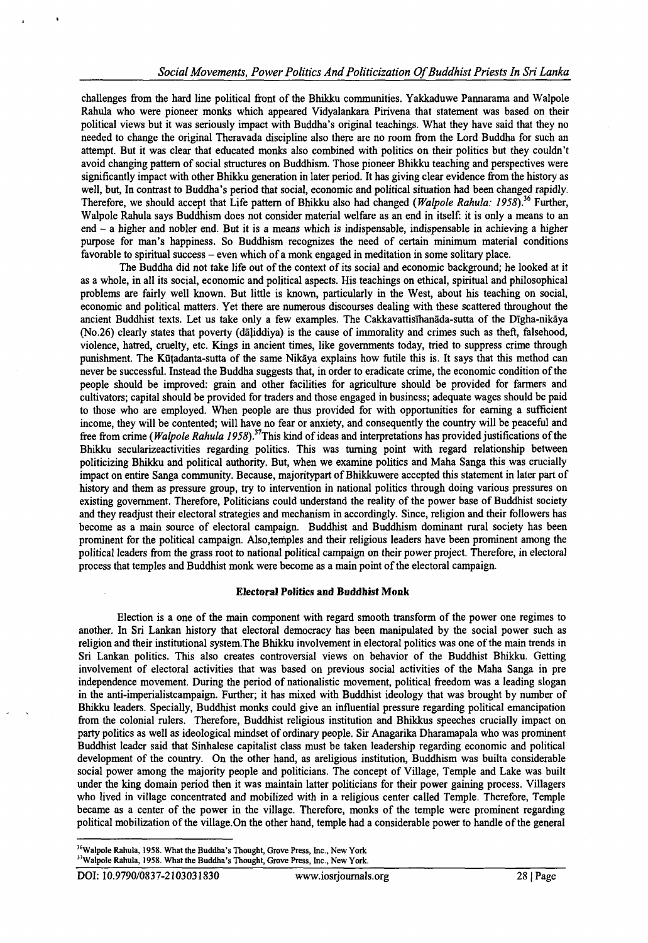challenges from the hard line political front of the Bhikku communities. Yakkaduwe Pannarama and Walpole Rahula who were pioneer monks which appeared Vidyalankara Pirivena that statement was based on their political views but it was seriously impact with Buddha's original teachings. What they have said that they no needed to change the original Theravada discipline also there are no room from the Lord Buddha for such an attempt. But it was clear that educated monks also combined with politics on their politics but they couldn't avoid changing pattern of social structures on Buddhism. Those pioneer Bhikku teaching and perspectives were significantly impact with other Bhikku generation in later period. It has giving clear evidence from the history as well, but, In contrast to Buddha's period that social, economic and political situation had been changed rapidly. Therefore, we should accept that Life pattern of Bhikku also had changed *(Walpole Rahula: 1958*).36 Further, Walpole Rahula says Buddhism does not consider material welfare as an end in itself: it is only a means to an end - a higher and nobler end. But it is a means which is indispensable, indispensable in achieving a higher purpose for man's happiness. So Buddhism recognizes the need of certain minimum material conditions favorable to spiritual success – even which of a monk engaged in meditation in some solitary place.

The Buddha did not take life out of the context of its social and economic background; he looked at it as a whole, in all its social, economic and political aspects. His teachings on ethical, spiritual and philosophical problems are fairly well known. But little is known, particularly in the West, about his teaching on social, economic and political matters. Yet there are numerous discourses dealing with these scattered throughout the ancient Buddhist texts. Let us take only a few examples. The Cakkavattislhanada-sutta of the DIgha-nikaya (No.26) clearly states that poverty (daliddiya) is the cause of immorality and crimes such as theft, falsehood, violence, hatred, cruelty, etc. Kings in ancient times, like governments today, tried to suppress crime through punishment. The Kutadanta-sutta of the same Nikaya explains how futile this is. It says that this method can never be successful. Instead the Buddha suggests that, in order to eradicate crime, the economic condition of the people should be improved: grain and other facilities for agriculture should be provided for farmers and cultivators; capital should be provided for traders and those engaged in business; adequate wages should be paid to those who are employed. When people are thus provided for with opportunities for earning a sufficient income, they will be contented; will have no fear or anxiety, and consequently the country will be peaceful and free from crime *(Walpole Rahula 1958)*.<sup>37</sup>This kind of ideas and interpretations has provided justifications of the Bhikku secularizeactivities regarding politics. This was turning point with regard relationship between politicizing Bhikku and political authority. But, when we examine politics and Maha Sanga this was crucially impact on entire Sanga community. Because, majoritypart of Bhikkuwere accepted this statement in later part of history and them as pressure group, try to intervention in national politics through doing various pressures on existing government. Therefore, Politicians could understand the reality of the power base of Buddhist society and they readjust their electoral strategies and mechanism in accordingly. Since, religion and their followers has become as a main source of electoral campaign. Buddhist and Buddhism dominant rural society has been prominent for the political campaign. Also,temples and their religious leaders have been prominent among the political leaders from the grass root to national political campaign on their power project. Therefore, in electoral process that temples and Buddhist monk were become as a main point of the electoral campaign.

# **Electoral Politics and Buddhist Monk**

Election is a one of the main component with regard smooth transform of the power one regimes to another. In Sri Lankan history that electoral democracy has been manipulated by the social power such as religion and their institutional system.The Bhikku involvement in electoral politics was one of the main trends in Sri Lankan politics. This also creates controversial views on behavior of the Buddhist Bhikku. Getting involvement of electoral activities that was based on previous social activities of the Maha Sanga in pre independence movement. During the period of nationalistic movement, political freedom was a leading slogan in the anti-imperialistcampaign. Further; it has mixed with Buddhist ideology that was brought by number of Bhikku leaders. Specially, Buddhist monks could give an influential pressure regarding political emancipation from the colonial rulers. Therefore, Buddhist religious institution and Bhikkus speeches crucially impact on party politics as well as ideological mindset of ordinary people. Sir Anagarika Dharamapala who was prominent Buddhist leader said that Sinhalese capitalist class must be taken leadership regarding economic and political development of the country. On the other hand, as areligious institution, Buddhism was builta considerable social power among the majority people and politicians. The concept of Village, Temple and Lake was built under the king domain period then it was maintain latter politicians for their power gaining process. Villagers who lived in village concentrated and mobilized with in a religious center called Temple. Therefore, Temple became as a center of the power in the village. Therefore, monks of the temple were prominent regarding political mobilization of the village.On the other hand, temple had a considerable power to handle of the general

<sup>&</sup>lt;sup>36</sup>Walpole Rahula, 1958. What the Buddha's Thought, Grove Press, Inc., New York <sup>37</sup>Walpole Rahula, 1958. What the Buddha's Thought, Grove Press, Inc., New York.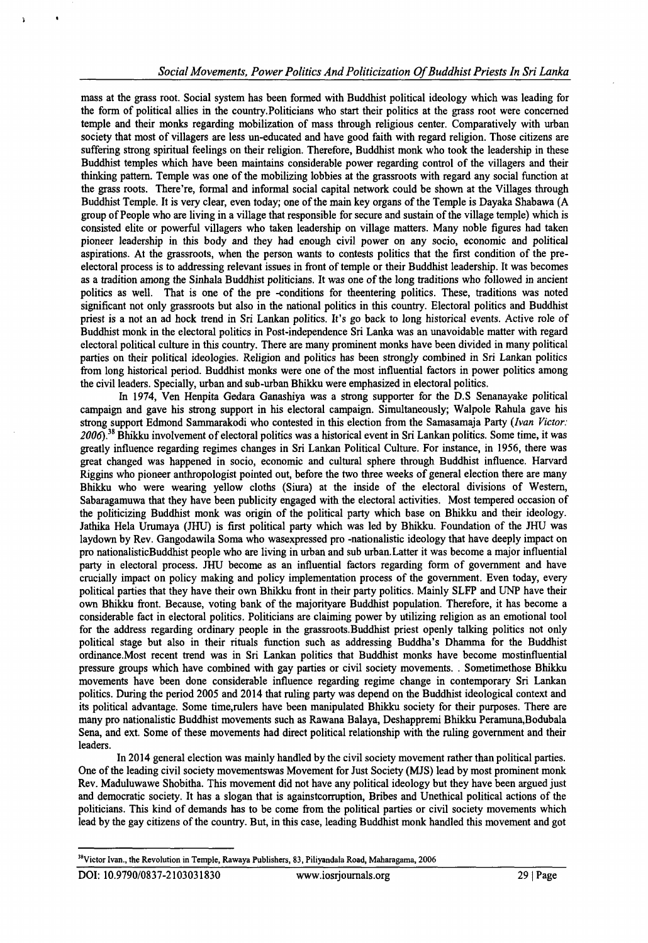mass at the grass root. Social system has been formed with Buddhist political ideology which was leading for the form of political allies in the country.Politicians who start their politics at the grass root were concerned temple and their monks regarding mobilization of mass through religious center. Comparatively with urban society that most of villagers are less un-educated and have good faith with regard religion. Those citizens are suffering strong spiritual feelings on their religion. Therefore, Buddhist monk who took the leadership in these Buddhist temples which have been maintains considerable power regarding control of the villagers and their thinking pattern. Temple was one of the mobilizing lobbies at the grassroots with regard any social function at the grass roots. There're, formal and informal social capital network could be shown at the Villages through Buddhist Temple. It is very clear, even today; one of the main key organs of the Temple is Dayaka Shabawa (A group of People who are living in a village that responsible for secure and sustain of the village temple) which is consisted elite or powerful villagers who taken leadership on village matters. Many noble figures had taken pioneer leadership in this body and they had enough civil power on any socio, economic and political aspirations. At the grassroots, when the person wants to contests politics that the first condition of the preelectoral process is to addressing relevant issues in front of temple or their Buddhist leadership. It was becomes as a tradition among the Sinhala Buddhist politicians. It was one of the long traditions who followed in ancient politics as well. That is one of the pre -conditions for theentering politics. These, traditions was noted significant not only grassroots but also in the national politics in this country. Electoral politics and Buddhist priest is a not an ad hock trend in Sri Lankan politics. It's go back to long historical events. Active role of Buddhist monk in the electoral politics in Post-independence Sri Lanka was an unavoidable matter with regard electoral political culture in this country. There are many prominent monks have been divided in many political parties on their political ideologies. Religion and politics has been strongly combined in Sri Lankan politics from long historical period. Buddhist monks were one of the most influential factors in power politics among the civil leaders. Specially, urban and sub-urban Bhikku were emphasized in electoral politics.

In 1974, Ven Henpita Gedara Ganashiya was a strong supporter for the D.S Senanayake political campaign and gave his strong support in his electoral campaign. Simultaneously; Walpole Rahula gave his strong support Edmond Sammarakodi who contested in this election from the Samasamaja Party *(Ivan Victor:* 2006).<sup>38</sup> Bhikku involvement of electoral politics was a historical event in Sri Lankan politics. Some time, it was greatly influence regarding regimes changes in Sri Lankan Political Culture. For instance, in 1956, there was great changed was happened in socio, economic and cultural sphere through Buddhist influence. Harvard Riggins who pioneer anthropologist pointed out, before the two three weeks of general election there are many Bhikku who were wearing yellow cloths (Siura) at the inside of the electoral divisions of Western, Sabaragamuwa that they have been publicity engaged with the electoral activities. Most tempered occasion of the politicizing Buddhist monk was origin of the political party which base on Bhikku and their ideology. Jathika Hela Urumaya (JHU) is first political party which was led by Bhikku. Foundation of the JHU was laydown by Rev. Gangodawila Soma who wasexpressed pro -nationalistic ideology that have deeply impact on pro nationalisticBuddhist people who are living in urban and sub urban.Latter it was become a major influential party in electoral process. JHU become as an influential factors regarding form of government and have crucially impact on policy making and policy implementation process of the government. Even today, every political parties that they have their own Bhikku front in their party politics. Mainly SLFP and UNP have their own Bhikku front. Because, voting bank of the majorityare Buddhist population. Therefore, it has become a considerable fact in electoral politics. Politicians are claiming power by utilizing religion as an emotional tool for the address regarding ordinary people in the grassroots.Buddhist priest openly talking politics not only political stage but also in their rituals function such as addressing Buddha's Dhamma for the Buddhist ordinance.Most recent trend was in Sri Lankan politics that Buddhist monks have become mostinfluential pressure groups which have combined with gay parties or civil society movements. . Sometimethose Bhikku movements have been done considerable influence regarding regime change in contemporary Sri Lankan politics. During the period 2005 and 2014 that ruling party was depend on the Buddhist ideological context and its political advantage. Some time,rulers have been manipulated Bhikku society for their purposes. There are many pro nationalistic Buddhist movements such as Rawana Balaya, Deshappremi Bhikku Peramuna,Bodubala Sena, and ext. Some of these movements had direct political relationship with the ruling government and their leaders.

In 2014 general election was mainly handled by the civil society movement rather than political parties. One of the leading civil society movementswas Movement for Just Society (MJS) lead by most prominent monk Rev. Maduluwawe Shobitha. This movement did not have any political ideology but they have been argued just and democratic society. It has a slogan that is againstcorruption, Bribes and Unethical political actions of the politicians. This kind of demands has to be come from the political parties or civil society movements which lead by the gay citizens of the country. But, in this case, leading Buddhist monk handled this movement and got

<sup>38</sup>Victor Ivan., the Revolution in Temple, Rawaya Publishers, 83, Piliyandala Road, Maharagama, 2006